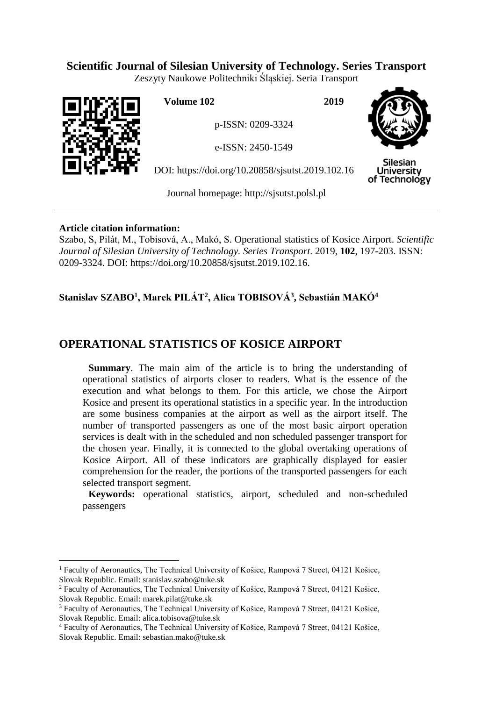## **Scientific Journal of Silesian University of Technology. Series Transport**

Zeszyty Naukowe Politechniki Śląskiej. Seria Transport



 $\overline{a}$ 

**Volume 102 2019**

p-ISSN: 0209-3324

e-ISSN: 2450-1549

DOI: https://doi.org/10.20858/sjsutst.2019.102.16



**Silesian University** of Technology

Journal homepage: [http://sjsutst.polsl.pl](http://sjsutst.polsl.pl/)

## **Article citation information:**

Szabo, S, Pilát, M., Tobisová, A., Makó, S. Operational statistics of Kosice Airport. *Scientific Journal of Silesian University of Technology. Series Transport*. 2019, **102**, 197-203. ISSN: 0209-3324. DOI: https://doi.org/10.20858/sjsutst.2019.102.16.

# **Stanislav SZABO<sup>1</sup> , Marek PILÁT<sup>2</sup> , Alica TOBISOVÁ<sup>3</sup> , Sebastián MAKÓ<sup>4</sup>**

# **OPERATIONAL STATISTICS OF KOSICE AIRPORT**

**Summary**. The main aim of the article is to bring the understanding of operational statistics of airports closer to readers. What is the essence of the execution and what belongs to them. For this article, we chose the Airport Kosice and present its operational statistics in a specific year. In the introduction are some business companies at the airport as well as the airport itself. The number of transported passengers as one of the most basic airport operation services is dealt with in the scheduled and non scheduled passenger transport for the chosen year. Finally, it is connected to the global overtaking operations of Kosice Airport. All of these indicators are graphically displayed for easier comprehension for the reader, the portions of the transported passengers for each selected transport segment.

**Keywords:** operational statistics, airport, scheduled and non-scheduled passengers

<sup>&</sup>lt;sup>1</sup> Faculty of Aeronautics, The Technical University of Košice, Rampová 7 Street, 04121 Košice, Slovak Republic. Email: stanislav.szabo@tuke.sk

<sup>2</sup> Faculty of Aeronautics, The Technical University of Košice, Rampová 7 Street, 04121 Košice, Slovak Republic. Email: marek.pilat@tuke.sk

<sup>&</sup>lt;sup>3</sup> Faculty of Aeronautics, The Technical University of Košice, Rampová 7 Street, 04121 Košice, Slovak Republic. Email: alica.tobisova@tuke.sk

<sup>4</sup> Faculty of Aeronautics, The Technical University of Košice, Rampová 7 Street, 04121 Košice, Slovak Republic. Email: sebastian.mako@tuke.sk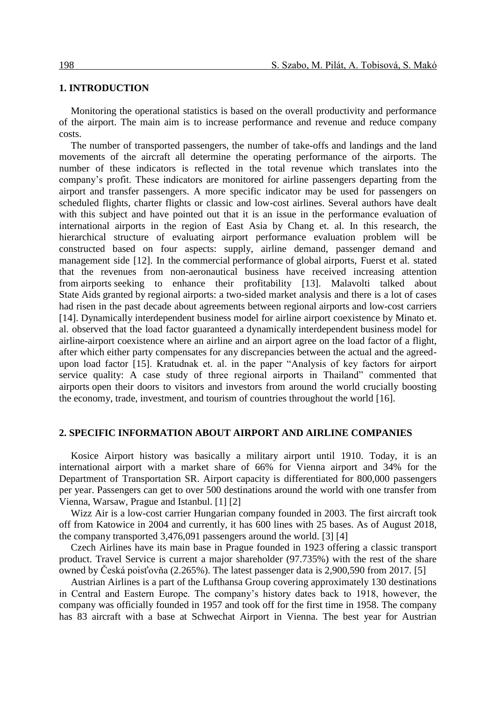#### **1. INTRODUCTION**

Monitoring the operational statistics is based on the overall productivity and performance of the airport. The main aim is to increase performance and revenue and reduce company costs.

The number of transported passengers, the number of take-offs and landings and the land movements of the aircraft all determine the operating performance of the airports. The number of these indicators is reflected in the total revenue which translates into the company's profit. These indicators are monitored for airline passengers departing from the airport and transfer passengers. A more specific indicator may be used for passengers on scheduled flights, charter flights or classic and low-cost airlines. Several authors have dealt with this subject and have pointed out that it is an issue in the performance evaluation of international airports in the region of East Asia by Chang et. al. In this research, the hierarchical structure of evaluating airport performance evaluation problem will be constructed based on four aspects: supply, airline demand, passenger demand and management side [12]. In the commercial performance of global airports, Fuerst et al. stated that the revenues from non-aeronautical business have received increasing attention from airports seeking to enhance their profitability [13]. Malavolti talked about State Aids granted by regional airports: a two-sided market analysis and there is a lot of cases had risen in the past decade about agreements between regional airports and low-cost carriers [14]. Dynamically interdependent business model for airline airport coexistence by Minato et. al. observed that the load factor guaranteed a dynamically interdependent business model for airline-airport coexistence where an airline and an airport agree on the load factor of a flight, after which either party compensates for any discrepancies between the actual and the agreedupon load factor [15]. Kratudnak et. al. in the paper "Analysis of key factors for airport service quality: A case study of three regional airports in Thailand" commented that airports open their doors to visitors and investors from around the world crucially boosting the economy, trade, investment, and tourism of countries throughout the world [16].

#### **2. SPECIFIC INFORMATION ABOUT AIRPORT AND AIRLINE COMPANIES**

Kosice Airport history was basically a military airport until 1910. Today, it is an international airport with a market share of 66% for Vienna airport and 34% for the Department of Transportation SR. Airport capacity is differentiated for 800,000 passengers per year. Passengers can get to over 500 destinations around the world with one transfer from Vienna, Warsaw, Prague and Istanbul. [1] [2]

Wizz Air is a low-cost carrier Hungarian company founded in 2003. The first aircraft took off from Katowice in 2004 and currently, it has 600 lines with 25 bases. As of August 2018, the company transported 3,476,091 passengers around the world. [3] [4]

Czech Airlines have its main base in Prague founded in 1923 offering a classic transport product. Travel Service is current a major shareholder (97.735%) with the rest of the share owned by Česká poisťovňa (2.265%). The latest passenger data is 2,900,590 from 2017. [5]

Austrian Airlines is a part of the Lufthansa Group covering approximately 130 destinations in Central and Eastern Europe. The company's history dates back to 1918, however, the company was officially founded in 1957 and took off for the first time in 1958. The company has 83 aircraft with a base at Schwechat Airport in Vienna. The best year for Austrian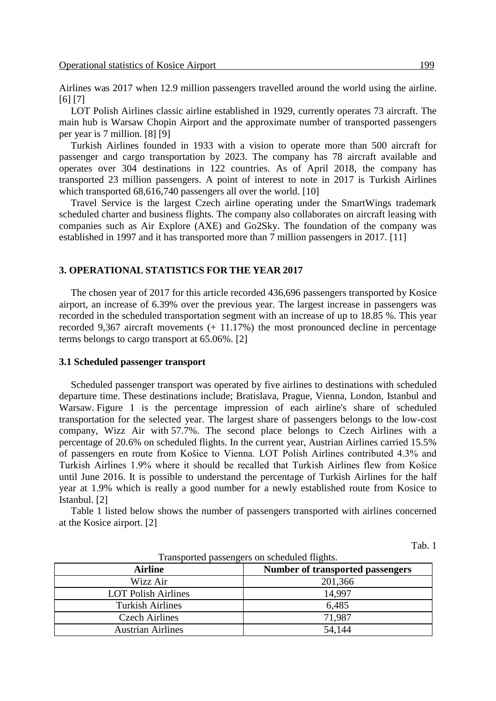Airlines was 2017 when 12.9 million passengers travelled around the world using the airline. [6] [7]

LOT Polish Airlines classic airline established in 1929, currently operates 73 aircraft. The main hub is Warsaw Chopin Airport and the approximate number of transported passengers per year is 7 million. [8] [9]

Turkish Airlines founded in 1933 with a vision to operate more than 500 aircraft for passenger and cargo transportation by 2023. The company has 78 aircraft available and operates over 304 destinations in 122 countries. As of April 2018, the company has transported 23 million passengers. A point of interest to note in 2017 is Turkish Airlines which transported 68,616,740 passengers all over the world. [10]

Travel Service is the largest Czech airline operating under the SmartWings trademark scheduled charter and business flights. The company also collaborates on aircraft leasing with companies such as Air Explore (AXE) and Go2Sky. The foundation of the company was established in 1997 and it has transported more than 7 million passengers in 2017. [11]

#### **3. OPERATIONAL STATISTICS FOR THE YEAR 2017**

The chosen year of 2017 for this article recorded 436,696 passengers transported by Kosice airport, an increase of 6.39% over the previous year. The largest increase in passengers was recorded in the scheduled transportation segment with an increase of up to 18.85 %. This year recorded 9,367 aircraft movements (+ 11.17%) the most pronounced decline in percentage terms belongs to cargo transport at 65.06%. [2]

#### **3.1 Scheduled passenger transport**

Scheduled passenger transport was operated by five airlines to destinations with scheduled departure time. These destinations include; Bratislava, Prague, Vienna, London, Istanbul and Warsaw. Figure 1 is the percentage impression of each airline's share of scheduled transportation for the selected year. The largest share of passengers belongs to the low-cost company, Wizz Air with 57.7%. The second place belongs to Czech Airlines with a percentage of 20.6% on scheduled flights. In the current year, Austrian Airlines carried 15.5% of passengers en route from Košice to Vienna. LOT Polish Airlines contributed 4.3% and Turkish Airlines 1.9% where it should be recalled that Turkish Airlines flew from Košice until June 2016. It is possible to understand the percentage of Turkish Airlines for the half year at 1.9% which is really a good number for a newly established route from Kosice to Istanbul. [2]

Table 1 listed below shows the number of passengers transported with airlines concerned at the Kosice airport. [2]

Tab. 1

| Transported passengers on senegated inghist |                                  |  |
|---------------------------------------------|----------------------------------|--|
| Airline                                     | Number of transported passengers |  |
| Wizz Air                                    | 201,366                          |  |
| <b>LOT Polish Airlines</b>                  | 14.997                           |  |
| <b>Turkish Airlines</b>                     | 6,485                            |  |
| <b>Czech Airlines</b>                       | 71,987                           |  |
| <b>Austrian Airlines</b>                    | 54,144                           |  |

| Transported passengers on scheduled flights. |  |
|----------------------------------------------|--|
|                                              |  |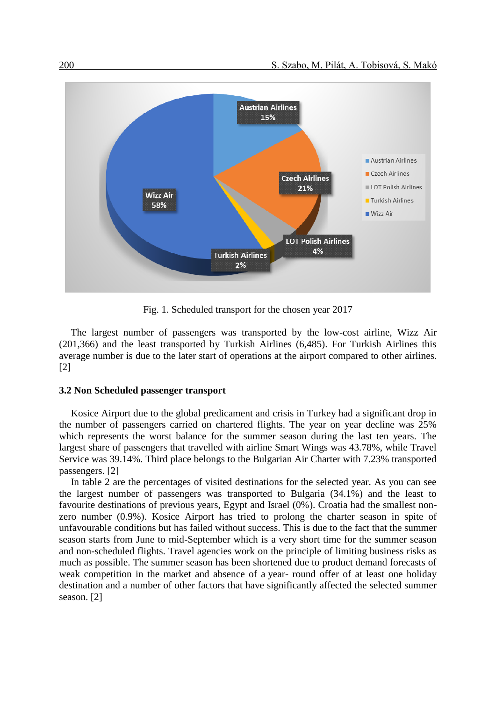

Fig. 1. Scheduled transport for the chosen year 2017

The largest number of passengers was transported by the low-cost airline, Wizz Air (201,366) and the least transported by Turkish Airlines (6,485). For Turkish Airlines this average number is due to the later start of operations at the airport compared to other airlines. [2]

#### **3.2 Non Scheduled passenger transport**

Kosice Airport due to the global predicament and crisis in Turkey had a significant drop in the number of passengers carried on chartered flights. The year on year decline was 25% which represents the worst balance for the summer season during the last ten years. The largest share of passengers that travelled with airline Smart Wings was 43.78%, while Travel Service was 39.14%. Third place belongs to the Bulgarian Air Charter with 7.23% transported passengers. [2]

In table 2 are the percentages of visited destinations for the selected year. As you can see the largest number of passengers was transported to Bulgaria (34.1%) and the least to favourite destinations of previous years, Egypt and Israel (0%). Croatia had the smallest nonzero number (0.9%). Kosice Airport has tried to prolong the charter season in spite of unfavourable conditions but has failed without success. This is due to the fact that the summer season starts from June to mid-September which is a very short time for the summer season and non-scheduled flights. Travel agencies work on the principle of limiting business risks as much as possible. The summer season has been shortened due to product demand forecasts of weak competition in the market and absence of a year- round offer of at least one holiday destination and a number of other factors that have significantly affected the selected summer season. [2]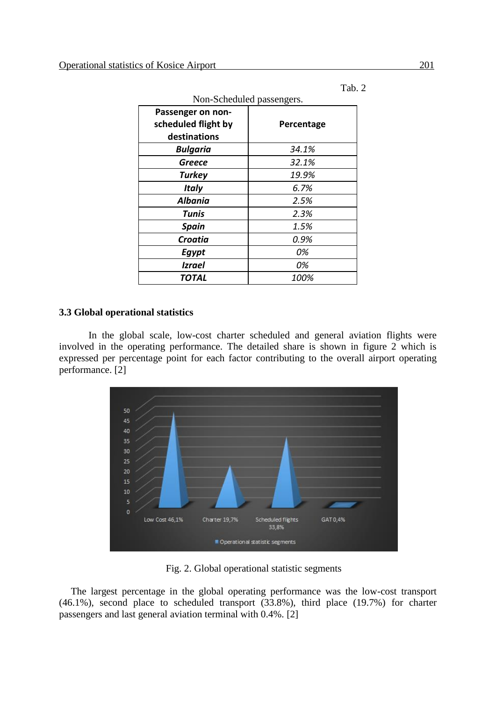Tab. 2

| Non-Scheduled passengers. |            |  |
|---------------------------|------------|--|
| Passenger on non-         |            |  |
| scheduled flight by       | Percentage |  |
| destinations              |            |  |
| <b>Bulgaria</b>           | 34.1%      |  |
| Greece                    | 32.1%      |  |
| <b>Turkey</b>             | 19.9%      |  |
| <b>Italy</b>              | 6.7%       |  |
| <b>Albania</b>            | 2.5%       |  |
| Tunis                     | 2.3%       |  |
| <b>Spain</b>              | 1.5%       |  |
| <b>Croatia</b>            | 0.9%       |  |
| Egypt                     | 0%         |  |
| <b>Izrael</b>             | 0%         |  |
| TOTAL                     | 100%       |  |

## **3.3 Global operational statistics**

In the global scale, low-cost charter scheduled and general aviation flights were involved in the operating performance. The detailed share is shown in figure 2 which is expressed per percentage point for each factor contributing to the overall airport operating performance. [2]

![](_page_4_Figure_6.jpeg)

Fig. 2. Global operational statistic segments

The largest percentage in the global operating performance was the low-cost transport (46.1%), second place to scheduled transport (33.8%), third place (19.7%) for charter passengers and last general aviation terminal with 0.4%. [2]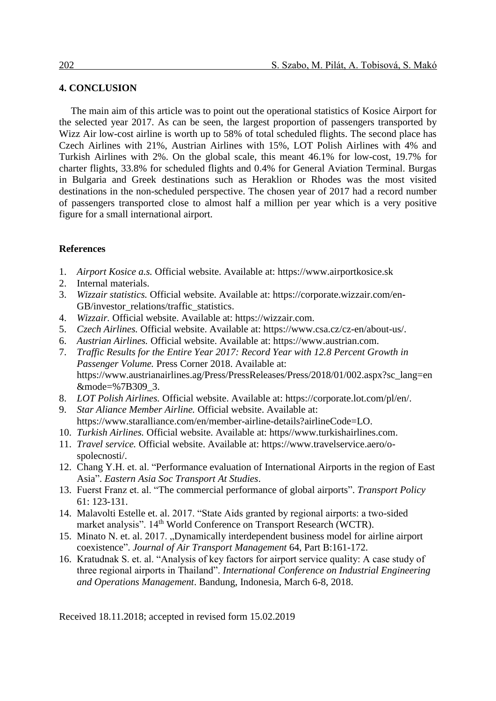## **4. CONCLUSION**

The main aim of this article was to point out the operational statistics of Kosice Airport for the selected year 2017. As can be seen, the largest proportion of passengers transported by Wizz Air low-cost airline is worth up to 58% of total scheduled flights. The second place has Czech Airlines with 21%, Austrian Airlines with 15%, LOT Polish Airlines with 4% and Turkish Airlines with 2%. On the global scale, this meant 46.1% for low-cost, 19.7% for charter flights, 33.8% for scheduled flights and 0.4% for General Aviation Terminal. Burgas in Bulgaria and Greek destinations such as Heraklion or Rhodes was the most visited destinations in the non-scheduled perspective. The chosen year of 2017 had a record number of passengers transported close to almost half a million per year which is a very positive figure for a small international airport.

### **References**

- 1. *Airport Kosice a.s.* Official website. Available at: https://www.airportkosice.sk
- 2. Internal materials.
- 3. *Wizzair statistics.* Official website. Available at: https://corporate.wizzair.com/en-GB/investor\_relations/traffic\_statistics.
- 4. *Wizzair.* Official website. Available at: https://wizzair.com.
- 5. *Czech Airlines.* Official website. Available at: https://www.csa.cz/cz-en/about-us/.
- 6. *Austrian Airlines.* Official website. Available at: https://www.austrian.com.
- 7. *Traffic Results for the Entire Year 2017: Record Year with 12.8 Percent Growth in Passenger Volume.* Press Corner 2018. Available at: https://www.austrianairlines.ag/Press/PressReleases/Press/2018/01/002.aspx?sc\_lang=en &mode=%7B309\_3.
- 8. *LOT Polish Airlines.* Official website. Available at: https://corporate.lot.com/pl/en/.
- 9. *Star Aliance Member Airline.* Official website. Available at: https://www.staralliance.com/en/member-airline-details?airlineCode=LO.
- 10. *Turkish Airlines.* Official website. Available at: https//www.turkishairlines.com.
- 11. *Travel service.* Official website. Available at: https://www.travelservice.aero/ospolecnosti/.
- 12. Chang Y.H. et. al. "Performance evaluation of International Airports in the region of East Asia". *Eastern Asia Soc Transport At Studies*.
- 13. Fuerst Franz et. al. "The commercial performance of global airports". *Transport Policy* 61: 123-131.
- 14. Malavolti Estelle et. al. 2017. "State Aids granted by regional airports: a two-sided market analysis". 14<sup>th</sup> World Conference on Transport Research (WCTR).
- 15. Minato N. et. al. 2017. "Dynamically interdependent business model for airline airport coexistence". *Journal of Air Transport Management* 64, Part B:161-172.
- 16. Kratudnak S. et. al. "Analysis of key factors for airport service quality: A case study of three regional airports in Thailand". *International Conference on Industrial Engineering and Operations Management*. Bandung, Indonesia, March 6-8, 2018.

Received 18.11.2018; accepted in revised form 15.02.2019